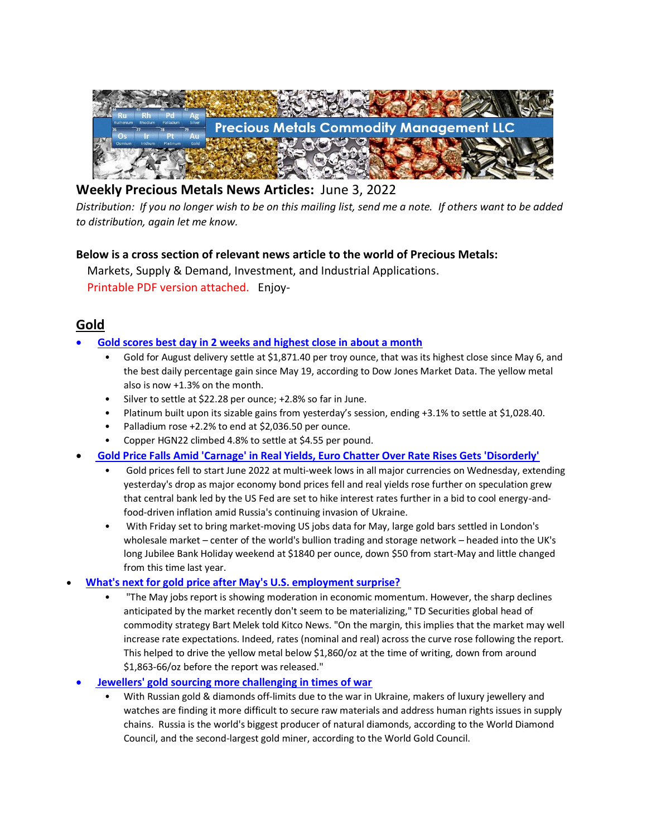

# **Weekly Precious Metals News Articles:** June 3, 2022

*Distribution: If you no longer wish to be on this mailing list, send me a note. If others want to be added to distribution, again let me know.*

## **Below is a cross section of relevant news article to the world of Precious Metals:**

 Markets, Supply & Demand, Investment, and Industrial Applications. Printable PDF version attached. Enjoy-

## **Gold**

## • **[Gold scores best day in 2 weeks and highest close in about a month](https://www.marketwatch.com/story/precious-metals-climb-as-platinum-leads-market-higher-11654171939)**

- Gold for August delivery settle at \$1,871.40 per troy ounce, that was its highest close since May 6, and the best daily percentage gain since May 19, according to Dow Jones Market Data. The yellow metal also is now +1.3% on the month.
- Silver to settle at \$22.28 per ounce; +2.8% so far in June.
- Platinum built upon its sizable gains from yesterday's session, ending +3.1% to settle at \$1,028.40.
- Palladium rose +2.2% to end at \$2,036.50 per ounce.
- Copper HGN22 climbed 4.8% to settle at \$4.55 per pound.
- **[Gold Price Falls Amid 'Carnage' in Real Yields, Euro Chatter Over Rate Rises Gets 'Disorderly'](https://www.bullionvault.com/gold-news/gold-prices-060120221)**
	- Gold prices fell to start June 2022 at multi-week lows in all major currencies on Wednesday, extending yesterday's drop as major economy bond prices fell and real yields rose further on speculation grew that central bank led by the US Fed are set to hike interest rates further in a bid to cool energy-andfood-driven inflation amid Russia's continuing invasion of Ukraine.
	- With Friday set to bring market-moving US jobs data for May, large gold bars settled in London's wholesale market – center of the world's bullion trading and storage network – headed into the UK's long Jubilee Bank Holiday weekend at \$1840 per ounce, down \$50 from start-May and little changed from this time last year.

## • **[What's next for gold price after May's U.S. employment surprise?](https://www.kitco.com/news/2022-06-03/What-s-next-for-gold-price-after-May-s-U-S-employment-surprise.html)**

- "The May jobs report is showing moderation in economic momentum. However, the sharp declines anticipated by the market recently don't seem to be materializing," TD Securities global head of commodity strategy Bart Melek told Kitco News. "On the margin, this implies that the market may well increase rate expectations. Indeed, rates (nominal and real) across the curve rose following the report. This helped to drive the yellow metal below \$1,860/oz at the time of writing, down from around \$1,863-66/oz before the report was released."
- **[Jewellers' gold sourcing more challenging in times of war](https://www.reuters.com/markets/commodities/jewellers-gold-sourcing-more-challenging-times-war-2022-06-02/)**
	- With Russian gold & diamonds off-limits due to the war in Ukraine, makers of luxury jewellery and watches are finding it more difficult to secure raw materials and address human rights issues in supply chains. Russia is the world's biggest producer of natural diamonds, according to the World Diamond Council, and the second-largest gold miner, according to the World Gold Council.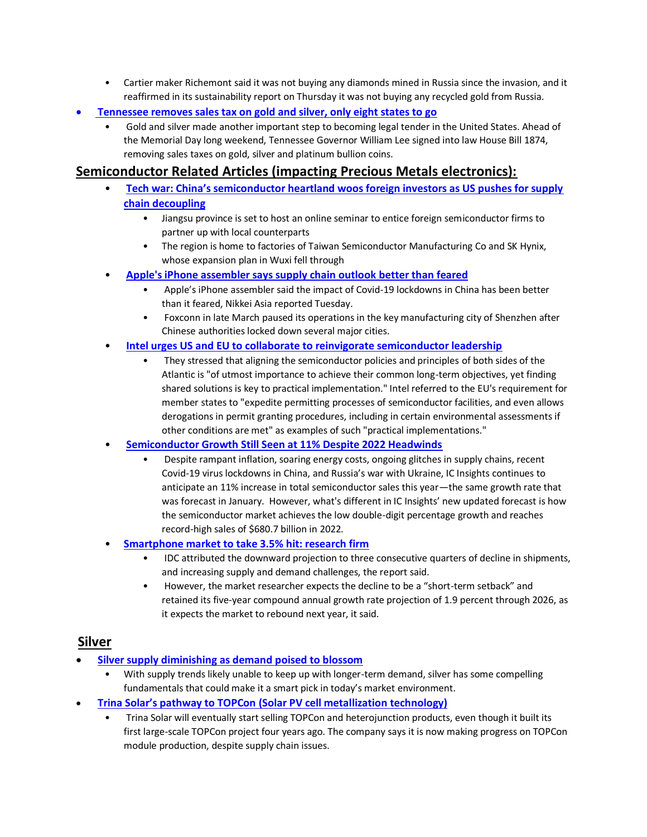- Cartier maker Richemont said it was not buying any diamonds mined in Russia since the invasion, and it reaffirmed in its sustainability report on Thursday it was not buying any recycled gold from Russia.
- **[Tennessee removes sales tax on gold and silver, only eight states to go](https://www.kitco.com/news/2022-05-30/Tennessee-removes-sales-tax-on-gold-and-silver-only-eight-states-to-go.html)**
	- Gold and silver made another important step to becoming legal tender in the United States. Ahead of the Memorial Day long weekend, Tennessee Governor William Lee signed into law House Bill 1874, removing sales taxes on gold, silver and platinum bullion coins.

## **Semiconductor Related Articles (impacting Precious Metals electronics):**

- **[Tech war: China's semiconductor heartland woos foreign investors as US pushes for supply](https://www.scmp.com/tech/tech-war/article/3179315/tech-war-chinas-semiconductor-heartland-woos-foreign-investors-us)  [chain decoupling](https://www.scmp.com/tech/tech-war/article/3179315/tech-war-chinas-semiconductor-heartland-woos-foreign-investors-us)**
	- Jiangsu province is set to host an online seminar to entice foreign semiconductor firms to partner up with local counterparts
	- The region is home to factories of Taiwan Semiconductor Manufacturing Co and SK Hynix, whose expansion plan in Wuxi fell through
- **[Apple's iPhone assembler says supply chain outlook](https://www.cnbc.com/2022/05/31/apples-iphone-supplier-says-supply-chain-outlook-better-than-feared.html) better than feared**
	- Apple's iPhone assembler said the impact of Covid-19 lockdowns in China has been better than it feared, Nikkei Asia reported Tuesday.
	- Foxconn in late March paused its operations in the key manufacturing city of Shenzhen after Chinese authorities locked down several major cities.
- **[Intel urges US and EU to collaborate to reinvigorate semiconductor leadership](https://www.digitimes.com/news/a20220601VL202/intel-semiconductor.html)**
	- They stressed that aligning the semiconductor policies and principles of both sides of the Atlantic is "of utmost importance to achieve their common long-term objectives, yet finding shared solutions is key to practical implementation." Intel referred to the EU's requirement for member states to "expedite permitting processes of semiconductor facilities, and even allows derogations in permit granting procedures, including in certain environmental assessments if other conditions are met" as examples of such "practical implementations."

#### • **[Semiconductor Growth Still Seen at 11% Despite 2022 Headwinds](https://www.icinsights.com/news/bulletins/Semiconductor-Growth-Still-Seen-At-11-Despite-2022-Headwinds/)**

- Despite rampant inflation, soaring energy costs, ongoing glitches in supply chains, recent Covid-19 virus lockdowns in China, and Russia's war with Ukraine, IC Insights continues to anticipate an 11% increase in total semiconductor sales this year—the same growth rate that was forecast in January. However, what's different in IC Insights' new updated forecast is how the semiconductor market achieves the low double-digit percentage growth and reaches record-high sales of \$680.7 billion in 2022.
- **[Smartphone market to take 3.5%](https://www.taipeitimes.com/News/biz/archives/2022/06/03/2003779247) hit: research firm**
	- IDC attributed the downward projection to three consecutive quarters of decline in shipments, and increasing supply and demand challenges, the report said.
	- However, the market researcher expects the decline to be a "short-term setback" and retained its five-year compound annual growth rate projection of 1.9 percent through 2026, as it expects the market to rebound next year, it said.

#### **Silver**

- **[Silver supply diminishing as demand poised to blossom](https://www.mining.com/web/silver-supply-diminishing-as-demand-poised-to-blossom/)**
	- With supply trends likely unable to keep up with longer-term demand, silver has some compelling fundamentals that could make it a smart pick in today's market environment.
- **[Trina Solar's pathway to TOPCon](https://www.pv-magazine.com/2022/05/30/trina-solars-pathway-to-topcon/) (Solar PV cell metallization technology)**
	- Trina Solar will eventually start selling TOPCon and heterojunction products, even though it built its first large-scale TOPCon project four years ago. The company says it is now making progress on TOPCon module production, despite supply chain issues.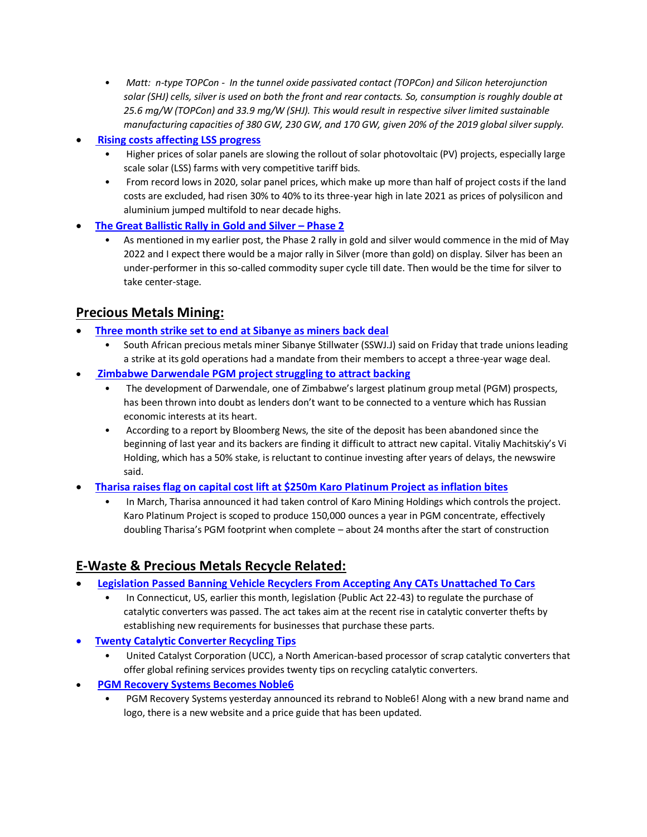- *Matt: n-type TOPCon In the tunnel oxide passivated contact (TOPCon) and Silicon heterojunction solar (SHJ) cells, silver is used on both the front and rear contacts. So, consumption is roughly double at 25.6 mg/W (TOPCon) and 33.9 mg/W (SHJ). This would result in respective silver limited sustainable manufacturing capacities of 380 GW, 230 GW, and 170 GW, given 20% of the 2019 global silver supply.*
- **[Rising costs affecting LSS progress](http://www.theedgemarkets.com/article/rising-costs-affecting-lss-progress)**
	- Higher prices of solar panels are slowing the rollout of solar photovoltaic (PV) projects, especially large scale solar (LSS) farms with very competitive tariff bids.
	- From record lows in 2020, solar panel prices, which make up more than half of project costs if the land costs are excluded, had risen 30% to 40% to its three-year high in late 2021 as prices of polysilicon and aluminium jumped multifold to near decade highs.
- **[The Great Ballistic Rally in Gold and Silver](https://www.commoditytrademantra.com/silver-trading-news/the-great-ballistic-rally-in-gold-and-silver-phase-2/) – Phase 2**
	- As mentioned in my earlier post, the Phase 2 rally in gold and silver would commence in the mid of May 2022 and I expect there would be a major rally in Silver (more than gold) on display. Silver has been an under-performer in this so-called commodity super cycle till date. Then would be the time for silver to take center-stage.

# **Precious Metals Mining:**

- **[Three month strike set to end at Sibanye as miners back deal](https://www.reuters.com/business/three-month-strike-set-end-sibanye-miners-back-deal-2022-06-03/)**
	- South African precious metals miner Sibanye Stillwater (SSWJ.J) said on Friday that trade unions leading a strike at its gold operations had a mandate from their members to accept a three-year wage deal.
- **[Zimbabwe Darwendale PGM project struggling to attract backing](https://www.miningmx.com/trending/49732-zimbabwe-darwendale-pgm-project-struggling-to-attract-backing/)**
	- The development of Darwendale, one of Zimbabwe's largest platinum group metal (PGM) prospects, has been thrown into doubt as lenders don't want to be connected to a venture which has Russian economic interests at its heart.
	- According to a report by Bloomberg News, the site of the deposit has been abandoned since the beginning of last year and its backers are finding it difficult to attract new capital. Vitaliy Machitskiy's Vi Holding, which has a 50% stake, is reluctant to continue investing after years of delays, the newswire said.
- **[Tharisa raises flag on capital cost lift at \\$250m Karo Platinum Project as inflation bites](https://www.miningmx.com/news/platinum/49649-tharisa-raises-flag-on-capital-cost-lift-at-150m-karo-platinum-as-inflation-bites/)**
	- In March, Tharisa announced it had taken control of Karo Mining Holdings which controls the project. Karo Platinum Project is scoped to produce 150,000 ounces a year in PGM concentrate, effectively doubling Tharisa's PGM footprint when complete – about 24 months after the start of construction

# **E-Waste & Precious Metals Recycle Related:**

- **[Legislation Passed Banning Vehicle Recyclers From Accepting Any CATs Unattached To Cars](https://autorecyclingworld.com/legislation-passed-banning-vehicle-recyclers-from-accepting-any-cats-unattached-to-cars/)**
	- In Connecticut, US, earlier this month, legislation {Public Act 22-43) to regulate the purchase of catalytic converters was passed. The act takes aim at the recent rise in catalytic converter thefts by establishing new requirements for businesses that purchase these parts.
- **[Twenty Catalytic Converter Recycling Tips](https://autorecyclingworld.com/twenty-catalytic-converter-recycling-tips/)**
	- United Catalyst Corporation (UCC), a North American-based processor of scrap catalytic converters that offer global refining services provides twenty tips on recycling catalytic converters.
- **[PGM Recovery Systems Becomes Noble6](https://autorecyclingworld.com/pgm-recovery-systems-becomes-noble6/)** 
	- PGM Recovery Systems yesterday announced its rebrand to Noble6! Along with a new brand name and logo, there is a new website and a price guide that has been updated.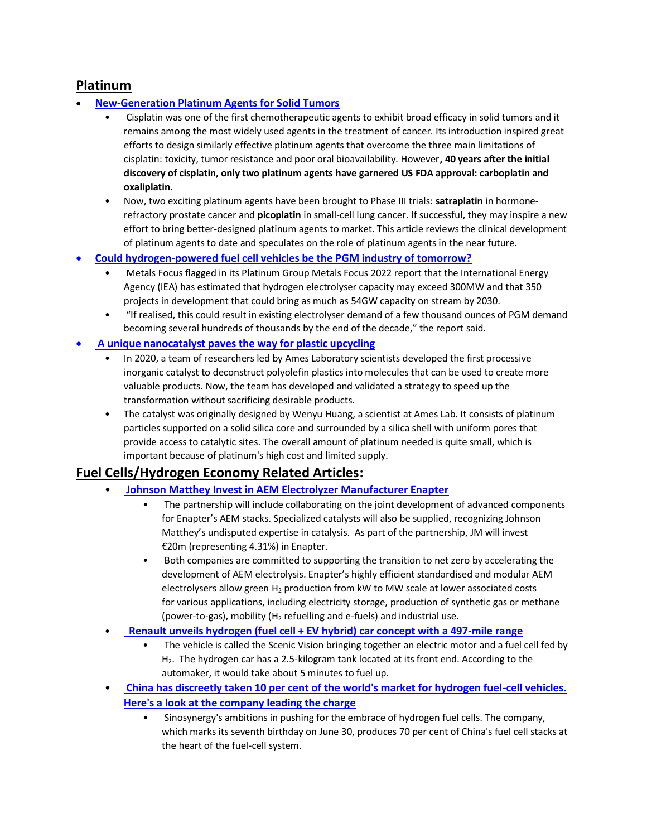## **Platinum**

### • **[New-Generation Platinum Agents for Solid Tumors](https://www.medscape.com/viewarticle/589012)**

- Cisplatin was one of the first chemotherapeutic agents to exhibit broad efficacy in solid tumors and it remains among the most widely used agents in the treatment of cancer. Its introduction inspired great efforts to design similarly effective platinum agents that overcome the three main limitations of cisplatin: toxicity, tumor resistance and poor oral bioavailability. However**, 40 years after the initial discovery of cisplatin, only two platinum agents have garnered US FDA approval: carboplatin and oxaliplatin**.
- Now, two exciting platinum agents have been brought to Phase III trials: **satraplatin** in hormonerefractory prostate cancer and **picoplatin** in small-cell lung cancer. If successful, they may inspire a new effort to bring better-designed platinum agents to market. This article reviews the clinical development of platinum agents to date and speculates on the role of platinum agents in the near future.
- **[Could hydrogen-powered fuel cell vehicles be the PGM industry of tomorrow?](https://stockhead.com.au/resources/could-hydrogen-powered-fuel-cell-vehicles-be-the-pgm-industry-of-tomorrow/)**
	- Metals Focus flagged in its Platinum Group Metals Focus 2022 report that the International Energy Agency (IEA) has estimated that hydrogen electrolyser capacity may exceed 300MW and that 350 projects in development that could bring as much as 54GW capacity on stream by 2030.
	- "If realised, this could result in existing electrolyser demand of a few thousand ounces of PGM demand becoming several hundreds of thousands by the end of the decade," the report said.

#### • **[A unique nanocatalyst paves the way for plastic upcycling](https://www.nanowerk.com/news2/green/newsid=60745.php)**

- In 2020, a team of researchers led by Ames Laboratory scientists developed the first processive inorganic catalyst to deconstruct polyolefin plastics into molecules that can be used to create more valuable products. Now, the team has developed and validated a strategy to speed up the transformation without sacrificing desirable products.
- The catalyst was originally designed by Wenyu Huang, a scientist at Ames Lab. It consists of platinum particles supported on a solid silica core and surrounded by a silica shell with uniform pores that provide access to catalytic sites. The overall amount of platinum needed is quite small, which is important because of platinum's high cost and limited supply.

# **Fuel Cells/Hydrogen Economy Related Articles:**

- **[Johnson Matthey Invest in AEM Electrolyzer Manufacturer Enapter](https://www.chemengonline.com/johnson-matthey-invests-in-aem-electrolyzer-manufacturer-enapter/)**
	- The partnership will include collaborating on the joint development of advanced components for Enapter's AEM stacks. Specialized catalysts will also be supplied, recognizing Johnson Matthey's undisputed expertise in catalysis. As part of the partnership, JM will invest €20m (representing 4.31%) in Enapter.
	- Both companies are committed to supporting the transition to net zero by accelerating the development of AEM electrolysis. Enapter's highly efficient standardised and modular AEM electrolysers allow green  $H_2$  production from kW to MW scale at lower associated costs for various applications, including electricity storage, production of synthetic gas or methane (power-to-gas), mobility ( $H_2$  refuelling and e-fuels) and industrial use.
- **[Renault unveils hydrogen \(fuel cell + EV hybrid\) car concept with a 497-mile range](https://www.hydrogenfuelnews.com/hydrogen-car-renault/8552865/?)**
	- The vehicle is called the Scenic Vision bringing together an electric motor and a fuel cell fed by  $H<sub>2</sub>$ . The hydrogen car has a 2.5-kilogram tank located at its front end. According to the automaker, it would take about 5 minutes to fuel up.
- **[China has discreetly taken 10 per cent of the world's market for hydrogen fuel-cell vehicles.](https://finance.yahoo.com/news/china-discreetly-taken-10-per-093000418.html)  [Here's a look at the company leading the charge](https://finance.yahoo.com/news/china-discreetly-taken-10-per-093000418.html)**
	- Sinosynergy's ambitions in pushing for the embrace of hydrogen fuel cells. The company, which marks its seventh birthday on June 30, produces 70 per cent of China's fuel cell stacks at the heart of the fuel-cell system.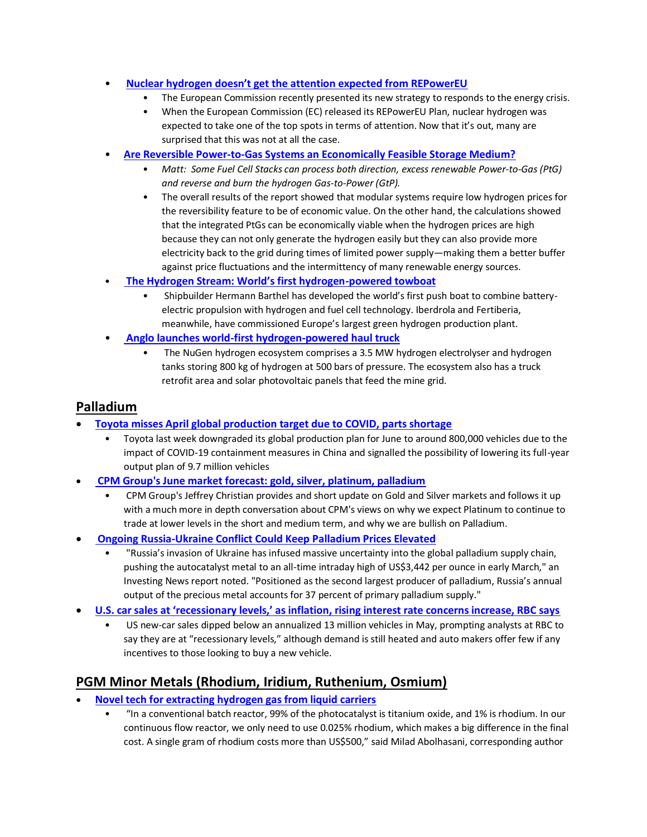#### • **[Nuclear hydrogen doesn't get the attention expected from REPowerEU](https://www.hydrogenfuelnews.com/nuclear-hydrogen-repowereu/8552887/?awt_a=1jpsU&awt_l=LyQiC&awt_m=fw_KD96yF85DlsU)**

- The European Commission recently presented its new strategy to responds to the energy crisis.
- When the European Commission (EC) released its REPowerEU Plan, nuclear hydrogen was expected to take one of the top spots in terms of attention. Now that it's out, many are surprised that this was not at all the case.
- **[Are Reversible Power-to-Gas Systems an Economically Feasible Storage Medium?](https://www.electropages.com/blog/2022/05/are-reversible-power-gas-systems-economically-feasible-storage-medium)**
	- *Matt: Some Fuel Cell Stacks can process both direction, excess renewable Power-to-Gas (PtG) and reverse and burn the hydrogen Gas-to-Power (GtP).*
	- The overall results of the report showed that modular systems require low hydrogen prices for the reversibility feature to be of economic value. On the other hand, the calculations showed that the integrated PtGs can be economically viable when the hydrogen prices are high because they can not only generate the hydrogen easily but they can also provide more electricity back to the grid during times of limited power supply―making them a better buffer against price fluctuations and the intermittency of many renewable energy sources.
- **[The Hydrogen Stream: World's first hydrogen](https://www.pv-magazine.com/2022/06/01/the-hydrogen-stream-worlds-first-hydrogen-powered-towboat/)-powered towboat**
	- Shipbuilder Hermann Barthel has developed the world's first push boat to combine batteryelectric propulsion with hydrogen and fuel cell technology. Iberdrola and Fertiberia, meanwhile, have commissioned Europe's largest green hydrogen production plant.
- **[Anglo launches world-first hydrogen-powered haul truck](https://www.engineeringnews.co.za/article/anglo-launches-world-first-hydrogen-powered-haul-truck-2022-06-01)**
	- The NuGen hydrogen ecosystem comprises a 3.5 MW hydrogen electrolyser and hydrogen tanks storing 800 kg of hydrogen at 500 bars of pressure. The ecosystem also has a truck retrofit area and solar photovoltaic panels that feed the mine grid.

# **Palladium**

- **[Toyota misses April global production target due to COVID, parts shortage](https://www.reuters.com/business/autos-transportation/toyota-misses-april-global-production-target-due-covid-parts-shortage-2022-05-30/)**
	- Toyota last week downgraded its global production plan for June to around 800,000 vehicles due to the impact of COVID-19 containment measures in China and signalled the possibility of lowering its full-year output plan of 9.7 million vehicles
- **[CPM Group's June market forecast: gold, silver, platinum, palladium](https://www.kitco.com/commentaries/2022-05-31/CPM-Group-s-June-market-forecast-gold-silver-platinum-palladium.html)**
	- CPM Group's Jeffrey Christian provides and short update on Gold and Silver markets and follows it up with a much more in depth conversation about CPM's views on why we expect Platinum to continue to trade at lower levels in the short and medium term, and why we are bullish on Palladium.
- **Ongoing Russia-Ukraine Conflict Could Keep Palladium Prices Elevated**
	- "Russia's invasion of Ukraine has infused massive uncertainty into the global palladium supply chain, pushing the autocatalyst metal to an all-time intraday high of US\$3,442 per ounce in early March," an Investing News report noted. "Positioned as the second largest producer of palladium, Russia's annual output of the precious metal accounts for 37 percent of primary palladium supply."
- **[U.S. car sales at 'recessionary levels,' as inflation, rising interest rate concerns increase, RBC says](https://www.msn.com/en-us/money/companies/us-car-sales-at-e2-80-98recessionary-levels-e2-80-99-as-inflation-rising-interest-rate-concerns-increase-rbc-says/ar-AAY0OZM?ocid=BingNewsSearch)**
	- US new-car sales dipped below an annualized 13 million vehicles in May, prompting analysts at RBC to say they are at "recessionary levels," although demand is still heated and auto makers offer few if any incentives to those looking to buy a new vehicle.

# **PGM Minor Metals (Rhodium, Iridium, Ruthenium, Osmium)**

- **[Novel tech for extracting hydrogen gas from liquid carriers](https://www.pv-magazine-australia.com/2022/05/30/novel-tech-for-extracting-hydrogen-gas-from-liquid-carriers/)**
	- "In a conventional batch reactor, 99% of the photocatalyst is titanium oxide, and 1% is rhodium. In our continuous flow reactor, we only need to use 0.025% rhodium, which makes a big difference in the final cost. A single gram of rhodium costs more than US\$500," said Milad Abolhasani, corresponding author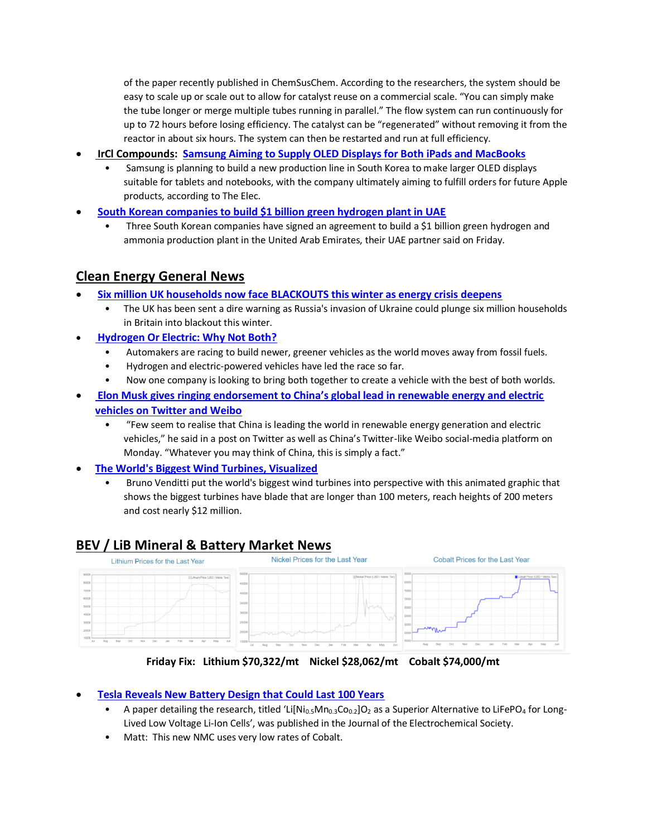of the paper recently published in ChemSusChem. According to the researchers, the system should be easy to scale up or scale out to allow for catalyst reuse on a commercial scale. "You can simply make the tube longer or merge multiple tubes running in parallel." The flow system can run continuously for up to 72 hours before losing efficiency. The catalyst can be "regenerated" without removing it from the reactor in about six hours. The system can then be restarted and run at full efficiency.

- **IrCl Compounds: [Samsung Aiming to Supply OLED Displays for Both iPads and MacBooks](https://www.macrumors.com/2022/06/03/samsung-oled-ipad-macbook-rumors/)**
	- Samsung is planning to build a new production line in South Korea to make larger OLED displays suitable for tablets and notebooks, with the company ultimately aiming to fulfill orders for future Apple products, according to The Elec.
- **[South Korean companies to build \\$1 billion green hydrogen plant in UAE](https://www.reuters.com/business/energy/south-korean-companies-build-1-bln-green-hydrogen-plant-uae-2022-06-03/)**
	- Three South Korean companies have signed an agreement to build a \$1 billion green hydrogen and ammonia production plant in the United Arab Emirates, their UAE partner said on Friday.

# **Clean Energy General News**

- **[Six million UK households now face BLACKOUTS this winter as energy crisis deepens](https://www.express.co.uk/news/science/1617972/energy-crisis-six-million-uk-household-blackouts-winter-russia-eu)**
	- The UK has been sent a dire warning as Russia's invasion of Ukraine could plunge six million households in Britain into blackout this winter.
- **[Hydrogen Or Electric: Why Not Both?](https://oilprice.com/Energy/Energy-General/Hydrogen-Or-Electric-Why-Not-Both.html)**
	- Automakers are racing to build newer, greener vehicles as the world moves away from fossil fuels.
	- Hydrogen and electric-powered vehicles have led the race so far.
	- Now one company is looking to bring both together to create a vehicle with the best of both worlds.
- **[Elon Musk gives ringing endorsement to China's global lead in renewable energy and electric](https://sg.news.yahoo.com/elon-musk-gives-ringing-endorsement-051141412.html)  [vehicles on Twitter and Weibo](https://sg.news.yahoo.com/elon-musk-gives-ringing-endorsement-051141412.html)**
	- "Few seem to realise that China is leading the world in renewable energy generation and electric vehicles," he said in a post on Twitter as well as China's Twitter-like Weibo social-media platform on Monday. "Whatever you may think of China, this is simply a fact."
- **[The World's Biggest Wind Turbines, Visualized](https://digg.com/data-viz/link/world-s-biggest-wind-turbines-visualized-o9NfgMbnbo)**
	- Bruno Venditti put the world's biggest wind turbines into perspective with this animated graphic that shows the biggest turbines have blade that are longer than 100 meters, reach heights of 200 meters and cost nearly \$12 million.

# **BEV / LiB Mineral & Battery Market News**<br>I lithium Prices for the Last Year **Mickel Prices for the Last Year**



**Friday Fix: Lithium \$70,322/mt Nickel \$28,062/mt Cobalt \$74,000/mt**

#### • **[Tesla Reveals New Battery Design that Could Last 100 Years](https://batteriesnews.com/tesla-reveals-new-battery-design-could-last-100-years/)**

- A paper detailing the research, titled 'Li[Ni<sub>0.5</sub>Mn<sub>0.3</sub>Co<sub>0.2</sub>]O<sub>2</sub> as a Superior Alternative to LiFePO<sub>4</sub> for Long-Lived Low Voltage Li-Ion Cells', was published in the Journal of the Electrochemical Society.
- Matt: This new NMC uses very low rates of Cobalt.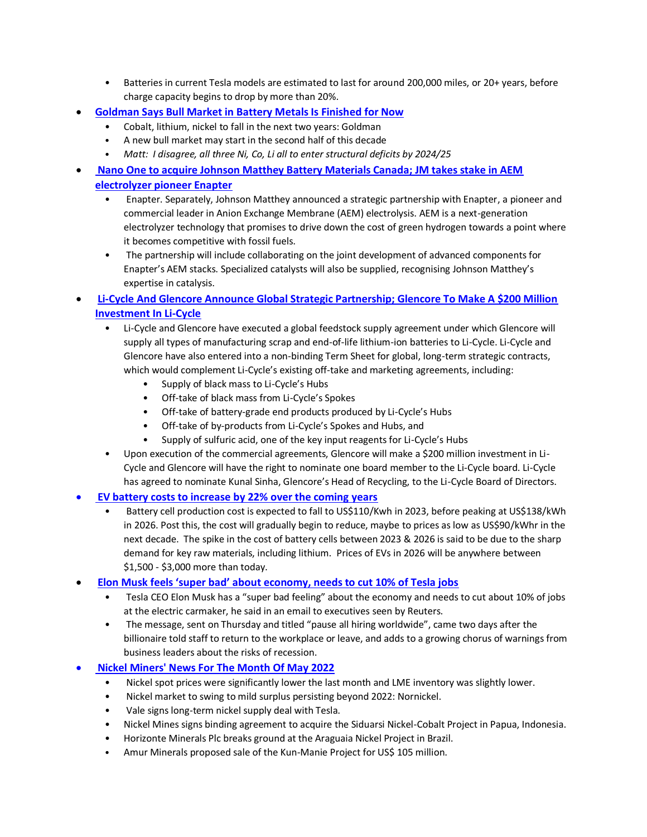- Batteries in current Tesla models are estimated to last for around 200,000 miles, or 20+ years, before charge capacity begins to drop by more than 20%.
- **[Goldman Says Bull Market in Battery Metals Is Finished for Now](https://www.bloomberg.com/news/articles/2022-05-29/goldman-says-bull-market-in-battery-metals-is-finished-for-now)**
	- Cobalt, lithium, nickel to fall in the next two years: Goldman
	- A new bull market may start in the second half of this decade
	- *Matt: I disagree, all three Ni, Co, Li all to enter structural deficits by 2024/25*
- **[Nano One to acquire Johnson Matthey Battery Materials Canada; JM takes stake in AEM](https://www.greencarcongress.com/2022/05/20220526-jm.html)  [electrolyzer pioneer Enapter](https://www.greencarcongress.com/2022/05/20220526-jm.html)**
	- Enapter. Separately, Johnson Matthey announced a strategic partnership with Enapter, a pioneer and commercial leader in Anion Exchange Membrane (AEM) electrolysis. AEM is a next-generation electrolyzer technology that promises to drive down the cost of green hydrogen towards a point where it becomes competitive with fossil fuels.
	- The partnership will include collaborating on the joint development of advanced components for Enapter's AEM stacks. Specialized catalysts will also be supplied, recognising Johnson Matthey's expertise in catalysis.
- **[Li-Cycle And Glencore Announce Global Strategic Partnership; Glencore To Make A \\$200 Million](https://autorecyclingworld.com/li-cycle-and-glencore-announce-global-strategic-partnership-glencore-to-make-a-200-million-investment-in-li-cycle/)  [Investment In Li-Cycle](https://autorecyclingworld.com/li-cycle-and-glencore-announce-global-strategic-partnership-glencore-to-make-a-200-million-investment-in-li-cycle/)**
	- Li-Cycle and Glencore have executed a global feedstock supply agreement under which Glencore will supply all types of manufacturing scrap and end-of-life lithium-ion batteries to Li-Cycle. Li-Cycle and Glencore have also entered into a non-binding Term Sheet for global, long-term strategic contracts, which would complement Li-Cycle's existing off-take and marketing agreements, including:
		- Supply of black mass to Li-Cycle's Hubs
		- Off-take of black mass from Li-Cycle's Spokes
		- Off-take of battery-grade end products produced by Li-Cycle's Hubs
		- Off-take of by-products from Li-Cycle's Spokes and Hubs, and
		- Supply of sulfuric acid, one of the key input reagents for Li-Cycle's Hubs
	- Upon execution of the commercial agreements, Glencore will make a \$200 million investment in Li-Cycle and Glencore will have the right to nominate one board member to the Li-Cycle board. Li-Cycle has agreed to nominate Kunal Sinha, Glencore's Head of Recycling, to the Li-Cycle Board of Directors.

#### • **[EV battery costs to increase by 22% over the coming years](https://www.team-bhp.com/news/ev-battery-costs-increase-22-over-coming-years)**

- Battery cell production cost is expected to fall to US\$110/Kwh in 2023, before peaking at US\$138/kWh in 2026. Post this, the cost will gradually begin to reduce, maybe to prices as low as US\$90/kWhr in the next decade. The spike in the cost of battery cells between 2023 & 2026 is said to be due to the sharp demand for key raw materials, including lithium. Prices of EVs in 2026 will be anywhere between \$1,500 - \$3,000 more than today.
- **[Elon Musk feels 'super bad' about economy, needs to cut 10% of Tesla jobs](https://www-theglobeandmail-com.cdn.ampproject.org/c/s/www.theglobeandmail.com/amp/business/international-business/us-business/article-elon-musk-feels-super-bad-about-economy-needs-to-cut-10-of-tesla-jobs/)**
	- Tesla CEO Elon Musk has a "super bad feeling" about the economy and needs to cut about 10% of jobs at the electric carmaker, he said in an email to executives seen by Reuters.
	- The message, sent on Thursday and titled "pause all hiring worldwide", came two days after the billionaire told staff to return to the workplace or leave, and adds to a growing chorus of warnings from business leaders about the risks of recession.

## • **[Nickel Miners' News For The Month Of May 2022](https://seekingalpha.com/article/4515747-nickel-miners-news-for-may-2022)**

- Nickel spot prices were significantly lower the last month and LME inventory was slightly lower.
- Nickel market to swing to mild surplus persisting beyond 2022: Nornickel.
- Vale signs long-term nickel supply deal with Tesla.
- Nickel Mines signs binding agreement to acquire the Siduarsi Nickel-Cobalt Project in Papua, Indonesia.
- Horizonte Minerals Plc breaks ground at the Araguaia Nickel Project in Brazil.
- Amur Minerals proposed sale of the Kun-Manie Project for US\$ 105 million.